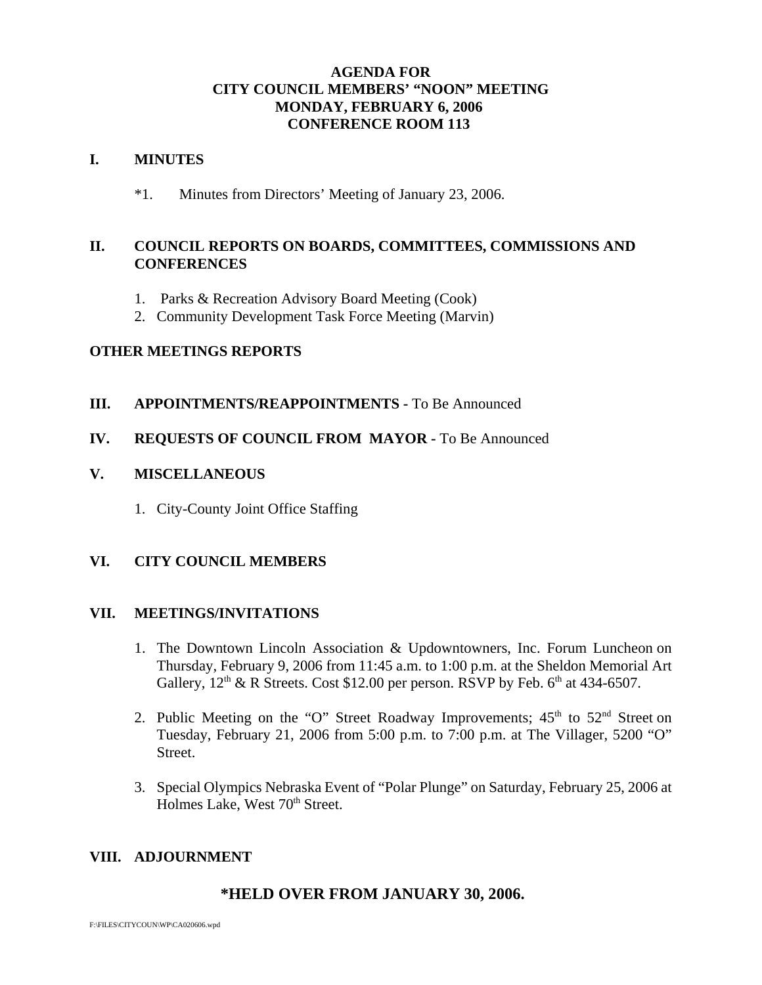# **AGENDA FOR CITY COUNCIL MEMBERS' "NOON" MEETING MONDAY, FEBRUARY 6, 2006 CONFERENCE ROOM 113**

### **I. MINUTES**

\*1. Minutes from Directors' Meeting of January 23, 2006.

# **II. COUNCIL REPORTS ON BOARDS, COMMITTEES, COMMISSIONS AND CONFERENCES**

- 1. Parks & Recreation Advisory Board Meeting (Cook)
- 2. Community Development Task Force Meeting (Marvin)

# **OTHER MEETINGS REPORTS**

# **III.** APPOINTMENTS/REAPPOINTMENTS - To Be Announced

### **IV. REQUESTS OF COUNCIL FROM MAYOR -** To Be Announced

# **V. MISCELLANEOUS**

1. City-County Joint Office Staffing

# **VI. CITY COUNCIL MEMBERS**

### **VII. MEETINGS/INVITATIONS**

- 1. The Downtown Lincoln Association & Updowntowners, Inc. Forum Luncheon on Thursday, February 9, 2006 from 11:45 a.m. to 1:00 p.m. at the Sheldon Memorial Art Gallery,  $12<sup>th</sup>$  & R Streets. Cost \$12.00 per person. RSVP by Feb. 6<sup>th</sup> at 434-6507.
- 2. Public Meeting on the "O" Street Roadway Improvements;  $45<sup>th</sup>$  to  $52<sup>nd</sup>$  Street on Tuesday, February 21, 2006 from 5:00 p.m. to 7:00 p.m. at The Villager, 5200 "O" Street.
- 3. Special Olympics Nebraska Event of "Polar Plunge" on Saturday, February 25, 2006 at Holmes Lake, West 70<sup>th</sup> Street.

# **VIII. ADJOURNMENT**

# **\*HELD OVER FROM JANUARY 30, 2006.**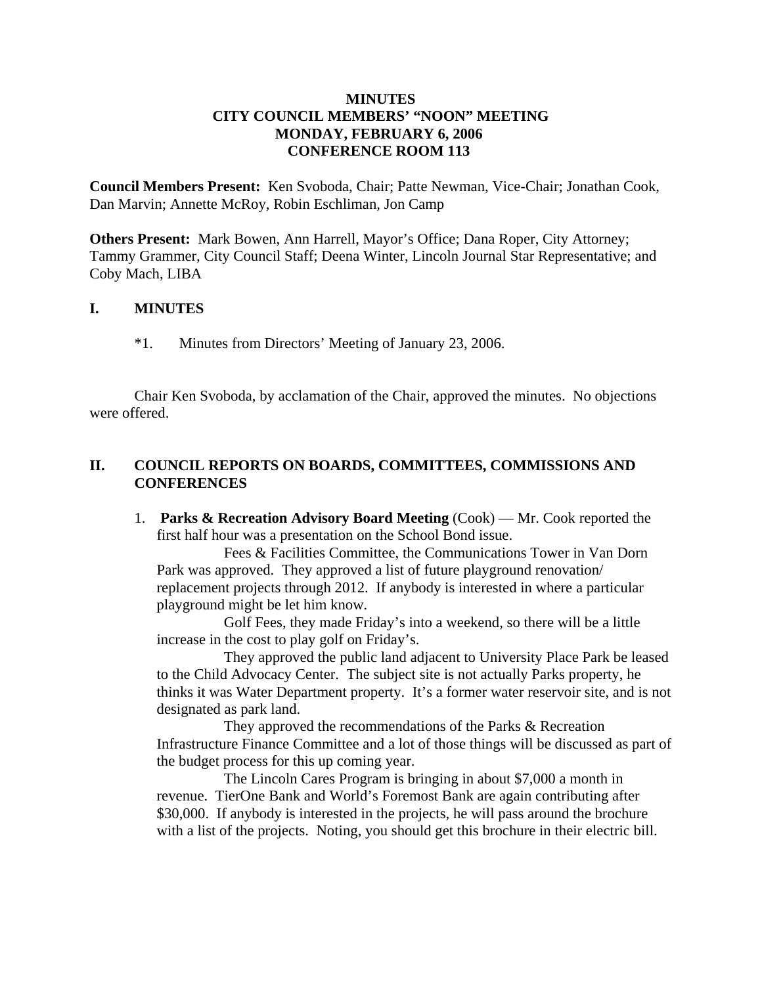# **MINUTES CITY COUNCIL MEMBERS' "NOON" MEETING MONDAY, FEBRUARY 6, 2006 CONFERENCE ROOM 113**

**Council Members Present:** Ken Svoboda, Chair; Patte Newman, Vice-Chair; Jonathan Cook, Dan Marvin; Annette McRoy, Robin Eschliman, Jon Camp

**Others Present:** Mark Bowen, Ann Harrell, Mayor's Office; Dana Roper, City Attorney; Tammy Grammer, City Council Staff; Deena Winter, Lincoln Journal Star Representative; and Coby Mach, LIBA

# **I. MINUTES**

\*1. Minutes from Directors' Meeting of January 23, 2006.

Chair Ken Svoboda, by acclamation of the Chair, approved the minutes. No objections were offered.

# **II. COUNCIL REPORTS ON BOARDS, COMMITTEES, COMMISSIONS AND CONFERENCES**

1. **Parks & Recreation Advisory Board Meeting** (Cook) — Mr. Cook reported the first half hour was a presentation on the School Bond issue.

Fees & Facilities Committee, the Communications Tower in Van Dorn Park was approved. They approved a list of future playground renovation/ replacement projects through 2012. If anybody is interested in where a particular playground might be let him know.

Golf Fees, they made Friday's into a weekend, so there will be a little increase in the cost to play golf on Friday's.

They approved the public land adjacent to University Place Park be leased to the Child Advocacy Center. The subject site is not actually Parks property, he thinks it was Water Department property. It's a former water reservoir site, and is not designated as park land.

They approved the recommendations of the Parks & Recreation Infrastructure Finance Committee and a lot of those things will be discussed as part of the budget process for this up coming year.

The Lincoln Cares Program is bringing in about \$7,000 a month in revenue. TierOne Bank and World's Foremost Bank are again contributing after \$30,000. If anybody is interested in the projects, he will pass around the brochure with a list of the projects. Noting, you should get this brochure in their electric bill.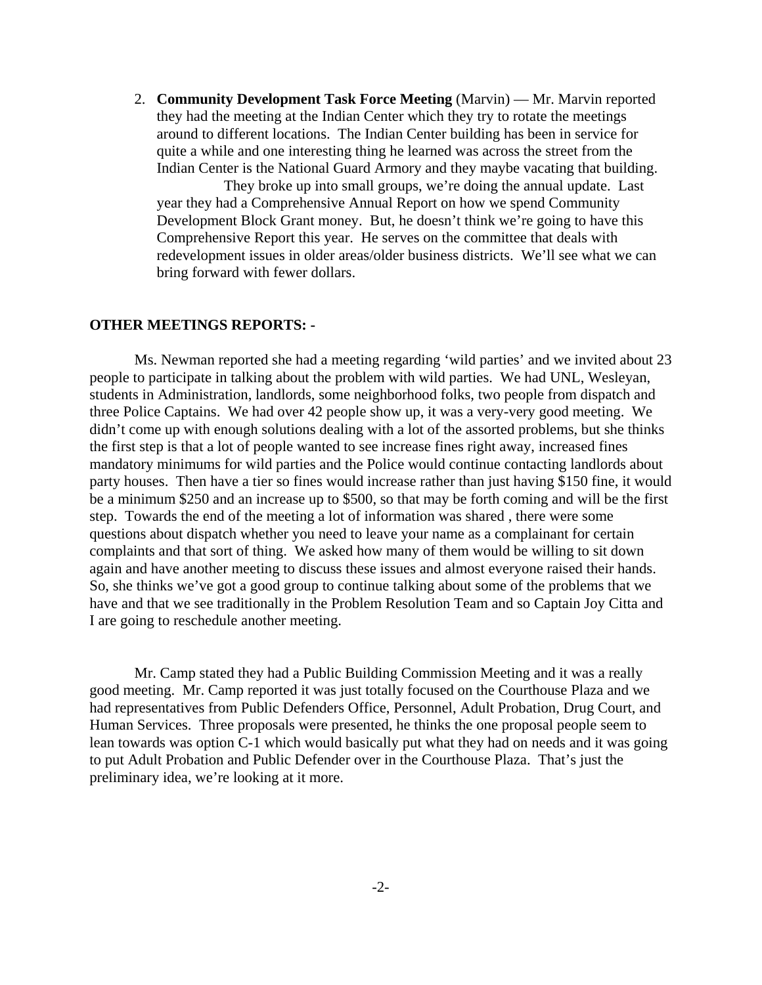2. **Community Development Task Force Meeting** (Marvin) — Mr. Marvin reported they had the meeting at the Indian Center which they try to rotate the meetings around to different locations. The Indian Center building has been in service for quite a while and one interesting thing he learned was across the street from the Indian Center is the National Guard Armory and they maybe vacating that building.

They broke up into small groups, we're doing the annual update. Last year they had a Comprehensive Annual Report on how we spend Community Development Block Grant money. But, he doesn't think we're going to have this Comprehensive Report this year. He serves on the committee that deals with redevelopment issues in older areas/older business districts. We'll see what we can bring forward with fewer dollars.

#### **OTHER MEETINGS REPORTS: -**

Ms. Newman reported she had a meeting regarding 'wild parties' and we invited about 23 people to participate in talking about the problem with wild parties. We had UNL, Wesleyan, students in Administration, landlords, some neighborhood folks, two people from dispatch and three Police Captains. We had over 42 people show up, it was a very-very good meeting. We didn't come up with enough solutions dealing with a lot of the assorted problems, but she thinks the first step is that a lot of people wanted to see increase fines right away, increased fines mandatory minimums for wild parties and the Police would continue contacting landlords about party houses. Then have a tier so fines would increase rather than just having \$150 fine, it would be a minimum \$250 and an increase up to \$500, so that may be forth coming and will be the first step. Towards the end of the meeting a lot of information was shared , there were some questions about dispatch whether you need to leave your name as a complainant for certain complaints and that sort of thing. We asked how many of them would be willing to sit down again and have another meeting to discuss these issues and almost everyone raised their hands. So, she thinks we've got a good group to continue talking about some of the problems that we have and that we see traditionally in the Problem Resolution Team and so Captain Joy Citta and I are going to reschedule another meeting.

Mr. Camp stated they had a Public Building Commission Meeting and it was a really good meeting. Mr. Camp reported it was just totally focused on the Courthouse Plaza and we had representatives from Public Defenders Office, Personnel, Adult Probation, Drug Court, and Human Services. Three proposals were presented, he thinks the one proposal people seem to lean towards was option C-1 which would basically put what they had on needs and it was going to put Adult Probation and Public Defender over in the Courthouse Plaza. That's just the preliminary idea, we're looking at it more.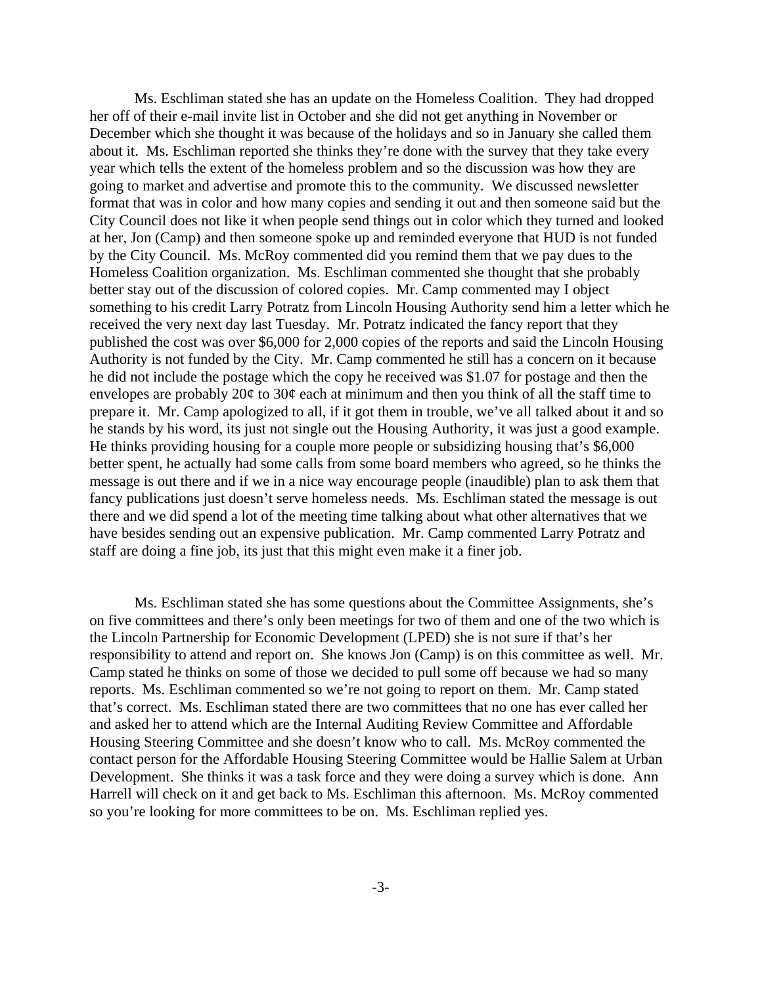Ms. Eschliman stated she has an update on the Homeless Coalition. They had dropped her off of their e-mail invite list in October and she did not get anything in November or December which she thought it was because of the holidays and so in January she called them about it. Ms. Eschliman reported she thinks they're done with the survey that they take every year which tells the extent of the homeless problem and so the discussion was how they are going to market and advertise and promote this to the community. We discussed newsletter format that was in color and how many copies and sending it out and then someone said but the City Council does not like it when people send things out in color which they turned and looked at her, Jon (Camp) and then someone spoke up and reminded everyone that HUD is not funded by the City Council. Ms. McRoy commented did you remind them that we pay dues to the Homeless Coalition organization. Ms. Eschliman commented she thought that she probably better stay out of the discussion of colored copies. Mr. Camp commented may I object something to his credit Larry Potratz from Lincoln Housing Authority send him a letter which he received the very next day last Tuesday. Mr. Potratz indicated the fancy report that they published the cost was over \$6,000 for 2,000 copies of the reports and said the Lincoln Housing Authority is not funded by the City. Mr. Camp commented he still has a concern on it because he did not include the postage which the copy he received was \$1.07 for postage and then the envelopes are probably  $20¢$  to  $30¢$  each at minimum and then you think of all the staff time to prepare it. Mr. Camp apologized to all, if it got them in trouble, we've all talked about it and so he stands by his word, its just not single out the Housing Authority, it was just a good example. He thinks providing housing for a couple more people or subsidizing housing that's \$6,000 better spent, he actually had some calls from some board members who agreed, so he thinks the message is out there and if we in a nice way encourage people (inaudible) plan to ask them that fancy publications just doesn't serve homeless needs. Ms. Eschliman stated the message is out there and we did spend a lot of the meeting time talking about what other alternatives that we have besides sending out an expensive publication. Mr. Camp commented Larry Potratz and staff are doing a fine job, its just that this might even make it a finer job.

Ms. Eschliman stated she has some questions about the Committee Assignments, she's on five committees and there's only been meetings for two of them and one of the two which is the Lincoln Partnership for Economic Development (LPED) she is not sure if that's her responsibility to attend and report on. She knows Jon (Camp) is on this committee as well. Mr. Camp stated he thinks on some of those we decided to pull some off because we had so many reports. Ms. Eschliman commented so we're not going to report on them. Mr. Camp stated that's correct. Ms. Eschliman stated there are two committees that no one has ever called her and asked her to attend which are the Internal Auditing Review Committee and Affordable Housing Steering Committee and she doesn't know who to call. Ms. McRoy commented the contact person for the Affordable Housing Steering Committee would be Hallie Salem at Urban Development. She thinks it was a task force and they were doing a survey which is done. Ann Harrell will check on it and get back to Ms. Eschliman this afternoon. Ms. McRoy commented so you're looking for more committees to be on. Ms. Eschliman replied yes.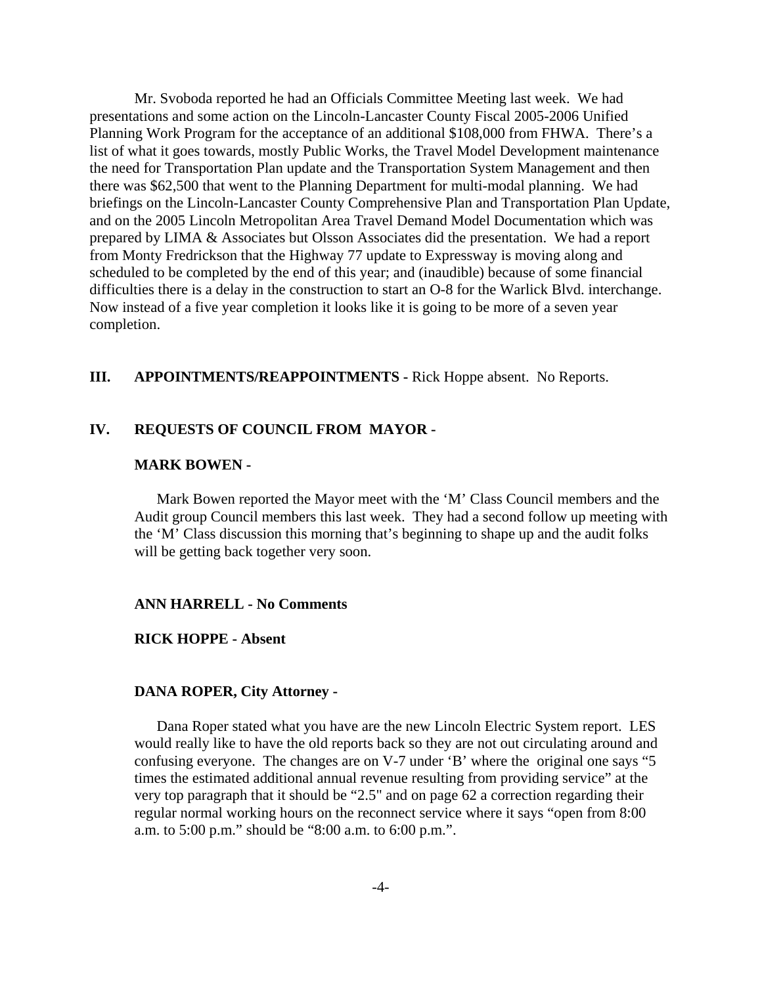Mr. Svoboda reported he had an Officials Committee Meeting last week. We had presentations and some action on the Lincoln-Lancaster County Fiscal 2005-2006 Unified Planning Work Program for the acceptance of an additional \$108,000 from FHWA. There's a list of what it goes towards, mostly Public Works, the Travel Model Development maintenance the need for Transportation Plan update and the Transportation System Management and then there was \$62,500 that went to the Planning Department for multi-modal planning. We had briefings on the Lincoln-Lancaster County Comprehensive Plan and Transportation Plan Update, and on the 2005 Lincoln Metropolitan Area Travel Demand Model Documentation which was prepared by LIMA & Associates but Olsson Associates did the presentation. We had a report from Monty Fredrickson that the Highway 77 update to Expressway is moving along and scheduled to be completed by the end of this year; and (inaudible) because of some financial difficulties there is a delay in the construction to start an O-8 for the Warlick Blvd. interchange. Now instead of a five year completion it looks like it is going to be more of a seven year completion.

## **III. APPOINTMENTS/REAPPOINTMENTS -** Rick Hoppe absent. No Reports.

### **IV. REQUESTS OF COUNCIL FROM MAYOR -**

#### **MARK BOWEN -**

Mark Bowen reported the Mayor meet with the 'M' Class Council members and the Audit group Council members this last week. They had a second follow up meeting with the 'M' Class discussion this morning that's beginning to shape up and the audit folks will be getting back together very soon.

#### **ANN HARRELL - No Comments**

### **RICK HOPPE - Absent**

#### **DANA ROPER, City Attorney -**

Dana Roper stated what you have are the new Lincoln Electric System report. LES would really like to have the old reports back so they are not out circulating around and confusing everyone. The changes are on V-7 under 'B' where the original one says "5 times the estimated additional annual revenue resulting from providing service" at the very top paragraph that it should be "2.5" and on page 62 a correction regarding their regular normal working hours on the reconnect service where it says "open from 8:00 a.m. to 5:00 p.m." should be "8:00 a.m. to 6:00 p.m.".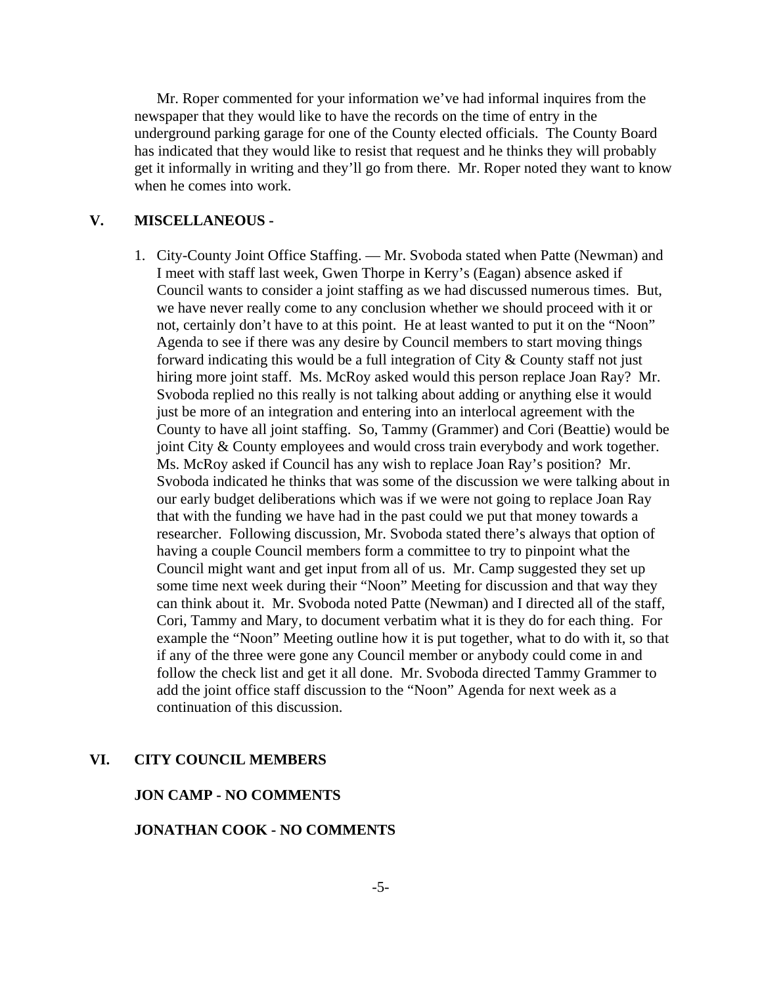Mr. Roper commented for your information we've had informal inquires from the newspaper that they would like to have the records on the time of entry in the underground parking garage for one of the County elected officials. The County Board has indicated that they would like to resist that request and he thinks they will probably get it informally in writing and they'll go from there. Mr. Roper noted they want to know when he comes into work.

### **V. MISCELLANEOUS -**

1. City-County Joint Office Staffing. — Mr. Svoboda stated when Patte (Newman) and I meet with staff last week, Gwen Thorpe in Kerry's (Eagan) absence asked if Council wants to consider a joint staffing as we had discussed numerous times. But, we have never really come to any conclusion whether we should proceed with it or not, certainly don't have to at this point. He at least wanted to put it on the "Noon" Agenda to see if there was any desire by Council members to start moving things forward indicating this would be a full integration of City & County staff not just hiring more joint staff. Ms. McRoy asked would this person replace Joan Ray? Mr. Svoboda replied no this really is not talking about adding or anything else it would just be more of an integration and entering into an interlocal agreement with the County to have all joint staffing. So, Tammy (Grammer) and Cori (Beattie) would be joint City & County employees and would cross train everybody and work together. Ms. McRoy asked if Council has any wish to replace Joan Ray's position? Mr. Svoboda indicated he thinks that was some of the discussion we were talking about in our early budget deliberations which was if we were not going to replace Joan Ray that with the funding we have had in the past could we put that money towards a researcher. Following discussion, Mr. Svoboda stated there's always that option of having a couple Council members form a committee to try to pinpoint what the Council might want and get input from all of us. Mr. Camp suggested they set up some time next week during their "Noon" Meeting for discussion and that way they can think about it. Mr. Svoboda noted Patte (Newman) and I directed all of the staff, Cori, Tammy and Mary, to document verbatim what it is they do for each thing. For example the "Noon" Meeting outline how it is put together, what to do with it, so that if any of the three were gone any Council member or anybody could come in and follow the check list and get it all done. Mr. Svoboda directed Tammy Grammer to add the joint office staff discussion to the "Noon" Agenda for next week as a continuation of this discussion.

### **VI. CITY COUNCIL MEMBERS**

### **JON CAMP - NO COMMENTS**

# **JONATHAN COOK - NO COMMENTS**